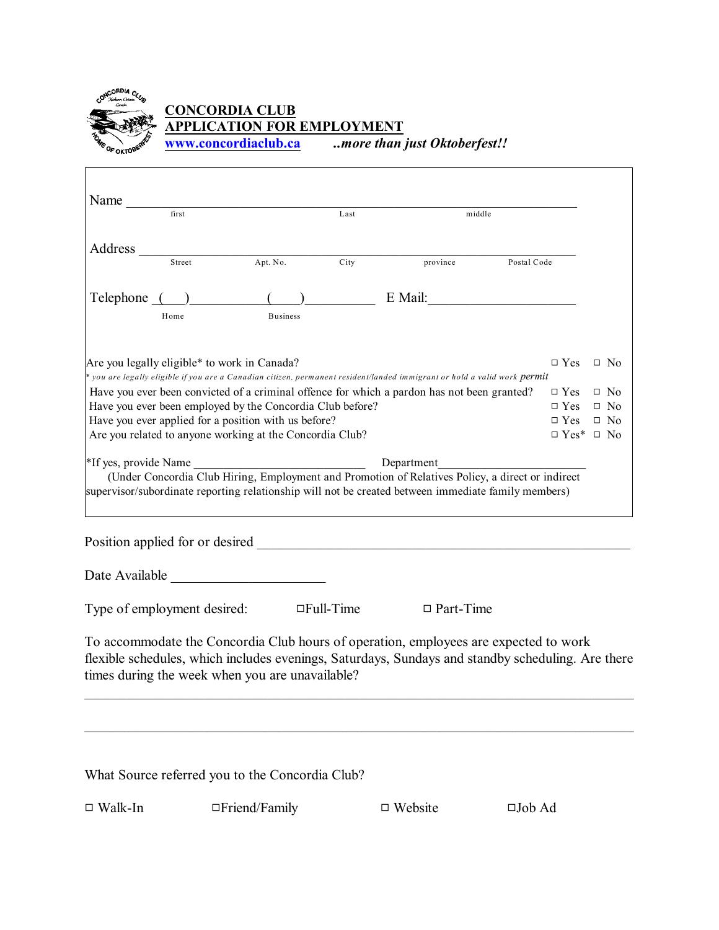

### **CONCORDIA CLUB APPLICATION FOR EMPLOYMENT**

**[www.concordiaclub.ca](http://www.concordiaclub.ca)** *..more than just Oktoberfest!!*

|                                                                                                                                                         | first                       |                                              | Last             | middle                                                                                                                                                                                                                                                   |             |            |           |           |
|---------------------------------------------------------------------------------------------------------------------------------------------------------|-----------------------------|----------------------------------------------|------------------|----------------------------------------------------------------------------------------------------------------------------------------------------------------------------------------------------------------------------------------------------------|-------------|------------|-----------|-----------|
| Address                                                                                                                                                 |                             |                                              |                  |                                                                                                                                                                                                                                                          |             |            |           |           |
|                                                                                                                                                         | Street                      | Apt. No.                                     | City             | province                                                                                                                                                                                                                                                 | Postal Code |            |           |           |
| Telephone (                                                                                                                                             |                             |                                              |                  | E Mail:                                                                                                                                                                                                                                                  |             |            |           |           |
|                                                                                                                                                         | Home                        | <b>Business</b>                              |                  |                                                                                                                                                                                                                                                          |             |            |           |           |
|                                                                                                                                                         |                             | Are you legally eligible* to work in Canada? |                  |                                                                                                                                                                                                                                                          |             | $\Box$ Yes |           | $\Box$ No |
|                                                                                                                                                         |                             |                                              |                  | * you are legally eligible if you are a Canadian citizen, permanent resident/landed immigrant or hold a valid work <mark>permit</mark>                                                                                                                   |             |            |           |           |
|                                                                                                                                                         |                             |                                              |                  | Have you ever been convicted of a criminal offence for which a pardon has not been granted?                                                                                                                                                              |             | $\Box$ Yes |           | $\Box$ No |
| Have you ever been employed by the Concordia Club before?<br>$\Box$ Yes<br>$\Box$ No                                                                    |                             |                                              |                  |                                                                                                                                                                                                                                                          |             |            |           |           |
| Have you ever applied for a position with us before?<br>$\Box$ Yes<br>Are you related to anyone working at the Concordia Club?<br>$\Box$ Yes* $\Box$ No |                             |                                              |                  |                                                                                                                                                                                                                                                          |             |            | $\Box$ No |           |
|                                                                                                                                                         |                             |                                              |                  |                                                                                                                                                                                                                                                          |             |            |           |           |
|                                                                                                                                                         | *If yes, provide Name       |                                              |                  | Department<br>(Under Concordia Club Hiring, Employment and Promotion of Relatives Policy, a direct or indirect<br>supervisor/subordinate reporting relationship will not be created between immediate family members)<br>Position applied for or desired |             |            |           |           |
|                                                                                                                                                         |                             |                                              |                  |                                                                                                                                                                                                                                                          |             |            |           |           |
|                                                                                                                                                         | Type of employment desired: |                                              | $\Box$ Full-Time | $\Box$ Part-Time                                                                                                                                                                                                                                         |             |            |           |           |
|                                                                                                                                                         |                             |                                              |                  |                                                                                                                                                                                                                                                          |             |            |           |           |

What Source referred you to the Concordia Club?

| $\Box$ Walk-In<br>$\Box$ Friend/Family<br>$\Box$ Website |  |  |  |  |  | $\square$ Job Ad |
|----------------------------------------------------------|--|--|--|--|--|------------------|
|----------------------------------------------------------|--|--|--|--|--|------------------|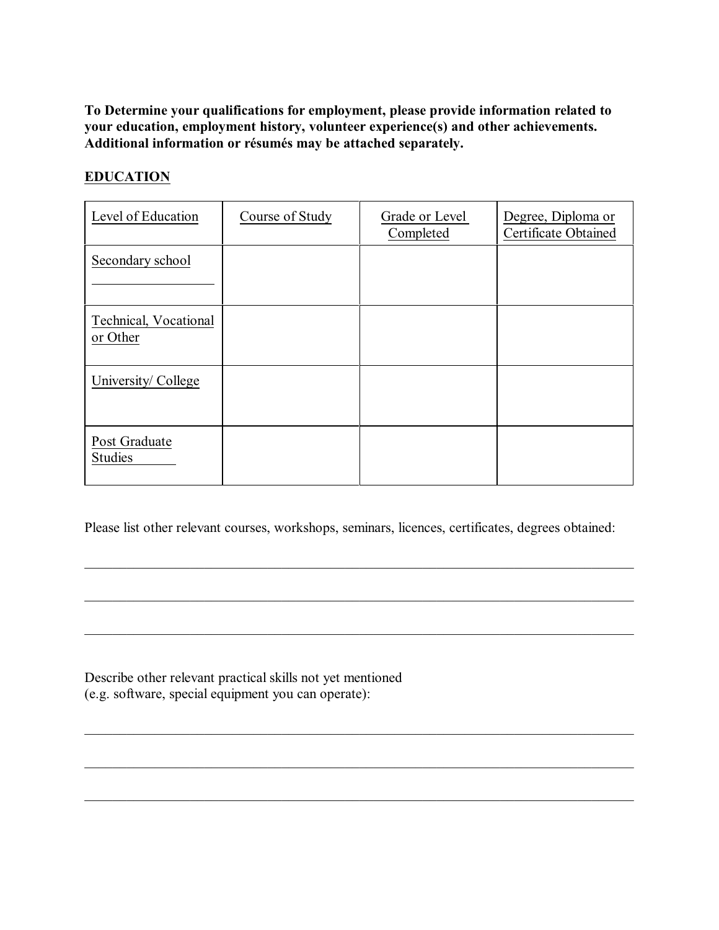**To Determine your qualifications for employment, please provide information related to your education, employment history, volunteer experience(s) and other achievements. Additional information or résumés may be attached separately.**

#### **EDUCATION**

| Level of Education                | Course of Study | Grade or Level<br>Completed | Degree, Diploma or<br><b>Certificate Obtained</b> |
|-----------------------------------|-----------------|-----------------------------|---------------------------------------------------|
| Secondary school                  |                 |                             |                                                   |
| Technical, Vocational<br>or Other |                 |                             |                                                   |
| University/College                |                 |                             |                                                   |
| Post Graduate<br><b>Studies</b>   |                 |                             |                                                   |

Please list other relevant courses, workshops, seminars, licences, certificates, degrees obtained:

\_\_\_\_\_\_\_\_\_\_\_\_\_\_\_\_\_\_\_\_\_\_\_\_\_\_\_\_\_\_\_\_\_\_\_\_\_\_\_\_\_\_\_\_\_\_\_\_\_\_\_\_\_\_\_\_\_\_\_\_\_\_\_\_\_\_\_\_\_\_\_\_\_\_\_\_\_\_

\_\_\_\_\_\_\_\_\_\_\_\_\_\_\_\_\_\_\_\_\_\_\_\_\_\_\_\_\_\_\_\_\_\_\_\_\_\_\_\_\_\_\_\_\_\_\_\_\_\_\_\_\_\_\_\_\_\_\_\_\_\_\_\_\_\_\_\_\_\_\_\_\_\_\_\_\_\_

\_\_\_\_\_\_\_\_\_\_\_\_\_\_\_\_\_\_\_\_\_\_\_\_\_\_\_\_\_\_\_\_\_\_\_\_\_\_\_\_\_\_\_\_\_\_\_\_\_\_\_\_\_\_\_\_\_\_\_\_\_\_\_\_\_\_\_\_\_\_\_\_\_\_\_\_\_\_

\_\_\_\_\_\_\_\_\_\_\_\_\_\_\_\_\_\_\_\_\_\_\_\_\_\_\_\_\_\_\_\_\_\_\_\_\_\_\_\_\_\_\_\_\_\_\_\_\_\_\_\_\_\_\_\_\_\_\_\_\_\_\_\_\_\_\_\_\_\_\_\_\_\_\_\_\_\_

\_\_\_\_\_\_\_\_\_\_\_\_\_\_\_\_\_\_\_\_\_\_\_\_\_\_\_\_\_\_\_\_\_\_\_\_\_\_\_\_\_\_\_\_\_\_\_\_\_\_\_\_\_\_\_\_\_\_\_\_\_\_\_\_\_\_\_\_\_\_\_\_\_\_\_\_\_\_

Describe other relevant practical skills not yet mentioned (e.g. software, special equipment you can operate):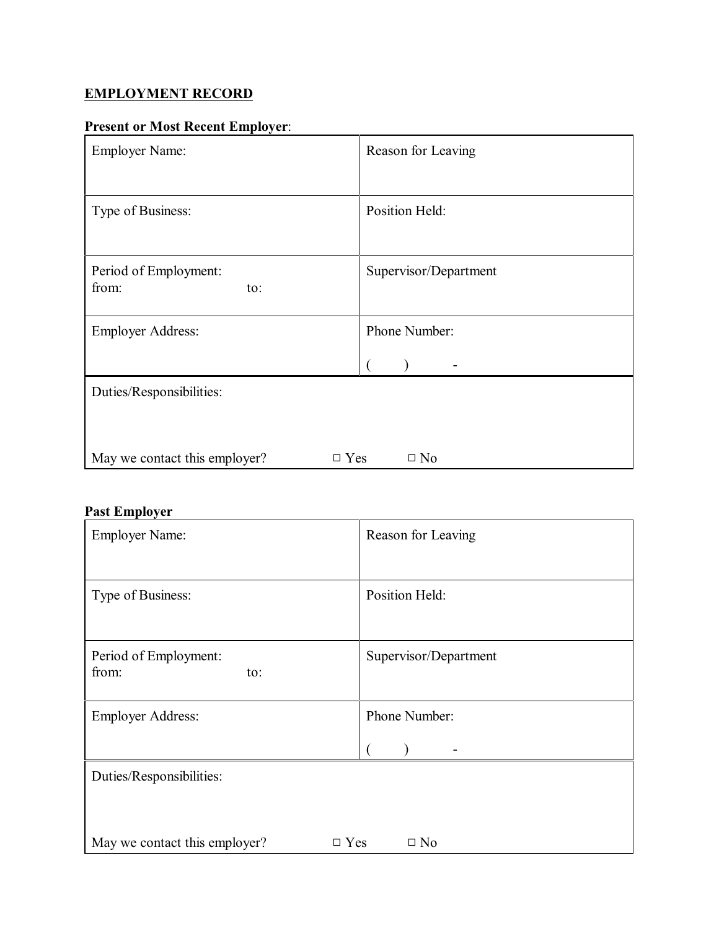# **EMPLOYMENT RECORD**

# **Present or Most Recent Employer**:

| <b>Employer Name:</b>                          | Reason for Leaving    |  |  |  |
|------------------------------------------------|-----------------------|--|--|--|
|                                                |                       |  |  |  |
| Type of Business:                              | Position Held:        |  |  |  |
|                                                |                       |  |  |  |
| Period of Employment:                          | Supervisor/Department |  |  |  |
| from:<br>to:                                   |                       |  |  |  |
| <b>Employer Address:</b>                       | Phone Number:         |  |  |  |
|                                                |                       |  |  |  |
| Duties/Responsibilities:                       |                       |  |  |  |
|                                                |                       |  |  |  |
| May we contact this employer?<br>$\square$ Yes | $\square$ No          |  |  |  |

# **Past Employer**

| <b>Employer Name:</b>                                       | Reason for Leaving    |  |  |  |
|-------------------------------------------------------------|-----------------------|--|--|--|
|                                                             |                       |  |  |  |
| Type of Business:                                           | Position Held:        |  |  |  |
|                                                             |                       |  |  |  |
| Period of Employment:<br>from:                              | Supervisor/Department |  |  |  |
| to:                                                         |                       |  |  |  |
| <b>Employer Address:</b>                                    | Phone Number:         |  |  |  |
|                                                             |                       |  |  |  |
| Duties/Responsibilities:                                    |                       |  |  |  |
|                                                             |                       |  |  |  |
| May we contact this employer?<br>$\Box$ Yes<br>$\square$ No |                       |  |  |  |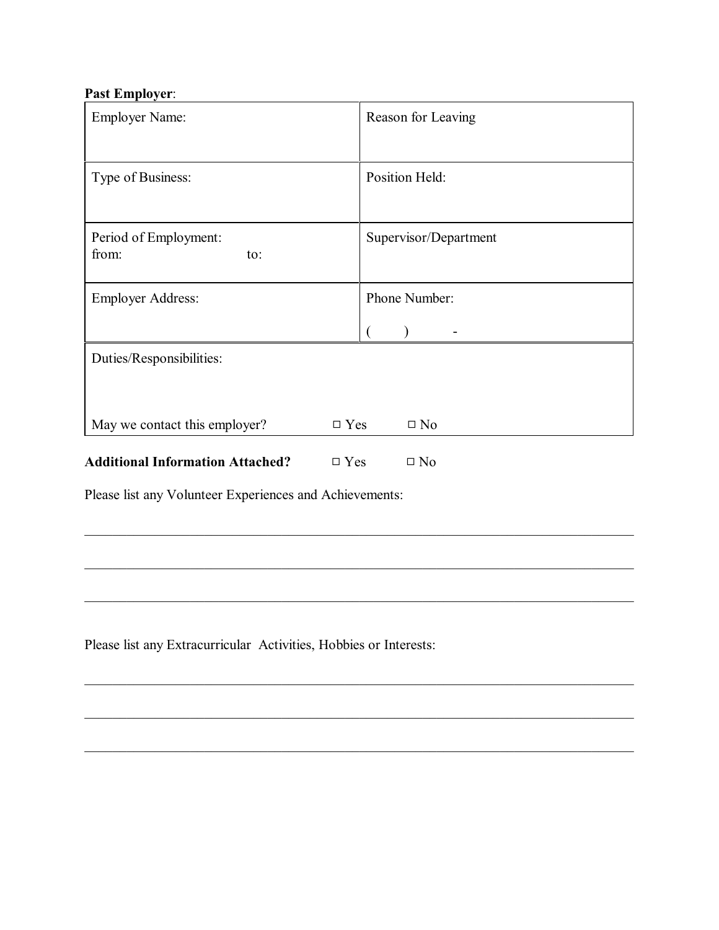#### **Past Employer**:

| <b>Employer Name:</b>                   |               | Reason for Leaving    |  |  |
|-----------------------------------------|---------------|-----------------------|--|--|
|                                         |               |                       |  |  |
| Type of Business:                       |               | Position Held:        |  |  |
|                                         |               |                       |  |  |
| Period of Employment:<br>from:          |               | Supervisor/Department |  |  |
| to:                                     |               |                       |  |  |
| <b>Employer Address:</b>                |               | Phone Number:         |  |  |
|                                         |               |                       |  |  |
| Duties/Responsibilities:                |               |                       |  |  |
|                                         |               |                       |  |  |
| May we contact this employer?           | $\square$ Yes | $\square$ No          |  |  |
| <b>Additional Information Attached?</b> | $\square$ Yes | $\square$ No          |  |  |

\_\_\_\_\_\_\_\_\_\_\_\_\_\_\_\_\_\_\_\_\_\_\_\_\_\_\_\_\_\_\_\_\_\_\_\_\_\_\_\_\_\_\_\_\_\_\_\_\_\_\_\_\_\_\_\_\_\_\_\_\_\_\_\_\_\_\_\_\_\_\_\_\_\_\_\_\_\_

\_\_\_\_\_\_\_\_\_\_\_\_\_\_\_\_\_\_\_\_\_\_\_\_\_\_\_\_\_\_\_\_\_\_\_\_\_\_\_\_\_\_\_\_\_\_\_\_\_\_\_\_\_\_\_\_\_\_\_\_\_\_\_\_\_\_\_\_\_\_\_\_\_\_\_\_\_\_

\_\_\_\_\_\_\_\_\_\_\_\_\_\_\_\_\_\_\_\_\_\_\_\_\_\_\_\_\_\_\_\_\_\_\_\_\_\_\_\_\_\_\_\_\_\_\_\_\_\_\_\_\_\_\_\_\_\_\_\_\_\_\_\_\_\_\_\_\_\_\_\_\_\_\_\_\_\_

\_\_\_\_\_\_\_\_\_\_\_\_\_\_\_\_\_\_\_\_\_\_\_\_\_\_\_\_\_\_\_\_\_\_\_\_\_\_\_\_\_\_\_\_\_\_\_\_\_\_\_\_\_\_\_\_\_\_\_\_\_\_\_\_\_\_\_\_\_\_\_\_\_\_\_\_\_\_

Please list any Volunteer Experiences and Achievements:

Please list any Extracurricular Activities, Hobbies or Interests: